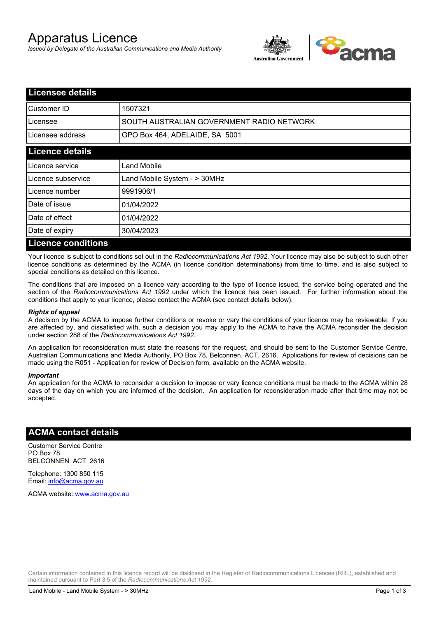# Apparatus Licence

*Issued by Delegate of the Australian Communications and Media Authority*



| <b>Licensee details</b>   |                                           |
|---------------------------|-------------------------------------------|
| <b>I</b> Customer ID      | 1507321                                   |
| Licensee                  | SOUTH AUSTRALIAN GOVERNMENT RADIO NETWORK |
| Licensee address          | GPO Box 464, ADELAIDE, SA 5001            |
| <b>Licence details</b>    |                                           |
| Licence service           | Land Mobile                               |
| Licence subservice        | Land Mobile System - > 30MHz              |
| Licence number            | 9991906/1                                 |
| Date of issue             | 01/04/2022                                |
| Date of effect            | 01/04/2022                                |
| Date of expiry            | 30/04/2023                                |
| <b>Licence conditions</b> |                                           |

Your licence is subject to conditions set out in the *Radiocommunications Act 1992*. Your licence may also be subject to such other licence conditions as determined by the ACMA (in licence condition determinations) from time to time, and is also subject to special conditions as detailed on this licence.

The conditions that are imposed on a licence vary according to the type of licence issued, the service being operated and the section of the *Radiocommunications Act 1992* under which the licence has been issued. For further information about the conditions that apply to your licence, please contact the ACMA (see contact details below).

#### *Rights of appeal*

A decision by the ACMA to impose further conditions or revoke or vary the conditions of your licence may be reviewable. If you are affected by, and dissatisfied with, such a decision you may apply to the ACMA to have the ACMA reconsider the decision under section 288 of the *Radiocommunications Act 1992*.

An application for reconsideration must state the reasons for the request, and should be sent to the Customer Service Centre, Australian Communications and Media Authority, PO Box 78, Belconnen, ACT, 2616. Applications for review of decisions can be made using the R051 - Application for review of Decision form, available on the ACMA website.

#### *Important*

An application for the ACMA to reconsider a decision to impose or vary licence conditions must be made to the ACMA within 28 days of the day on which you are informed of the decision. An application for reconsideration made after that time may not be accepted.

#### **ACMA contact details**

Customer Service Centre PO Box 78 BELCONNEN ACT 2616

Telephone: 1300 850 115 Email: info@acma.gov.au

ACMA website: www.acma.gov.au

Certain information contained in this licence record will be disclosed in the Register of Radiocommunications Licences (RRL), established and maintained pursuant to Part 3.5 of the *Radiocommunications Act 1992.*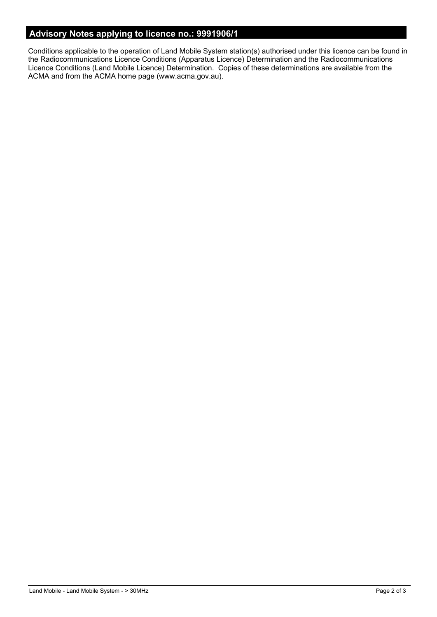### **Advisory Notes applying to licence no.: 9991906/1**

Conditions applicable to the operation of Land Mobile System station(s) authorised under this licence can be found in the Radiocommunications Licence Conditions (Apparatus Licence) Determination and the Radiocommunications Licence Conditions (Land Mobile Licence) Determination. Copies of these determinations are available from the ACMA and from the ACMA home page (www.acma.gov.au).